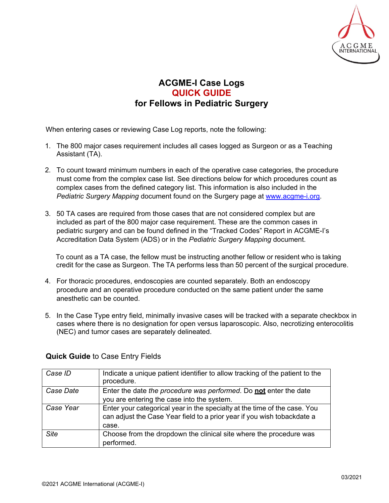

## **ACGME-I Case Logs QUICK GUIDE for Fellows in Pediatric Surgery**

When entering cases or reviewing Case Log reports, note the following:

- 1. The 800 major cases requirement includes all cases logged as Surgeon or as a Teaching Assistant (TA).
- 2. To count toward minimum numbers in each of the operative case categories, the procedure must come from the complex case list. See directions below for which procedures count as complex cases from the defined category list. This information is also included in the *Pediatric Surgery Mapping* document found on the Surgery page at [www.acgme-i.org.](http://www.acgme-i.org/)
- 3. 50 TA cases are required from those cases that are not considered complex but are included as part of the 800 major case requirement. These are the common cases in pediatric surgery and can be found defined in the "Tracked Codes" Report in ACGME-I's Accreditation Data System (ADS) or in the *Pediatric Surgery Mapping* document.

To count as a TA case, the fellow must be instructing another fellow or resident who is taking credit for the case as Surgeon. The TA performs less than 50 percent of the surgical procedure.

- 4. For thoracic procedures, endoscopies are counted separately. Both an endoscopy procedure and an operative procedure conducted on the same patient under the same anesthetic can be counted.
- 5. In the Case Type entry field, minimally invasive cases will be tracked with a separate checkbox in cases where there is no designation for open versus laparoscopic. Also, necrotizing enterocolitis (NEC) and tumor cases are separately delineated.

| Case ID     | Indicate a unique patient identifier to allow tracking of the patient to the<br>procedure.                                                                    |
|-------------|---------------------------------------------------------------------------------------------------------------------------------------------------------------|
| Case Date   | Enter the date the procedure was performed. Do not enter the date<br>you are entering the case into the system.                                               |
| Case Year   | Enter your categorical year in the specialty at the time of the case. You<br>can adjust the Case Year field to a prior year if you wish tobackdate a<br>case. |
| <b>Site</b> | Choose from the dropdown the clinical site where the procedure was<br>performed.                                                                              |

## **Quick Guide** to Case Entry Fields